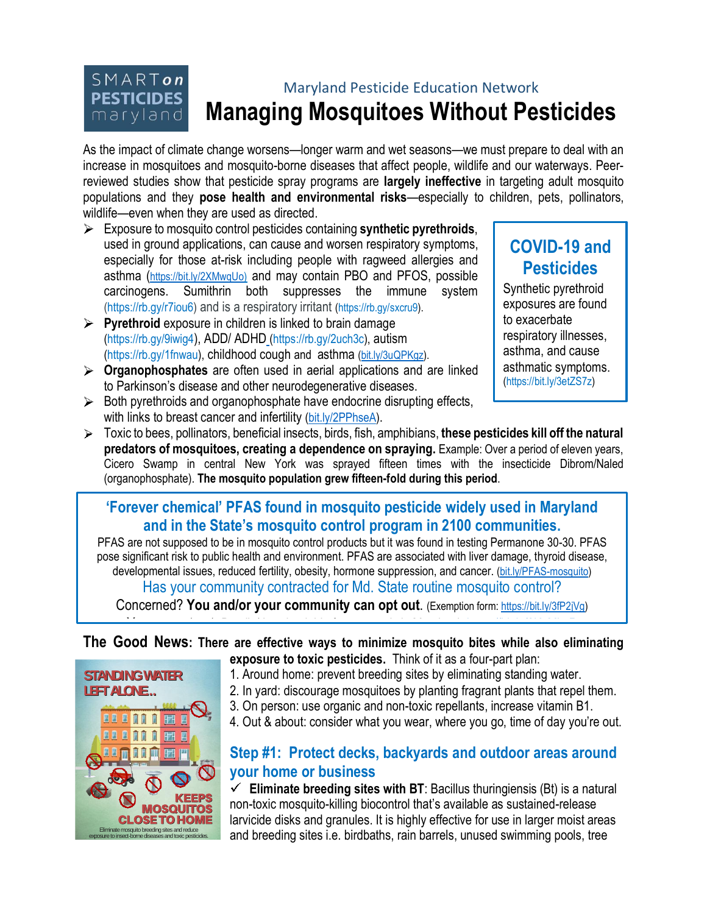#### $SMART$ on Maryland Pesticide Education Network **PESTICIDES Managing Mosquitoes Without Pesticides** maryland

As the impact of climate change worsens—longer warm and wet seasons—we must prepare to deal with an increase in mosquitoes and mosquito-borne diseases that affect people, wildlife and our waterways. Peerreviewed studies show that pesticide spray programs are **largely ineffective** in targeting adult mosquito populations and they **pose health and environmental risks**—especially to children, pets, pollinators, wildlife—even when they are used as directed.

- Exposure to mosquito control pesticides containing **synthetic pyrethroids**, used in ground applications, can cause and worsen respiratory symptoms, especially for those at-risk including people with ragweed allergies and asthma ([https://bit.ly/2XMwqUo\)](https://bit.ly/2XMwqUo) and may contain PBO and PFOS, possible carcinogens. Sumithrin both suppresses the immune system (https://rb.gy/r7iou6) and is a respiratory irritant (https://rb.gy/sxcru9).
- **Pyrethroid** exposure in children is linked to brain damage (https://rb.gy/9iwig4), ADD/ ADHD (https://rb.gy/2uch3c), autism (https://rb.gy/1fnwau), childhood cough and asthma [\(bit.ly/3uQPKgz\)](/Users/bonnieraindrop/Documents/Clients/MPEN/Mosquito%20Management/bit.ly/3uQPKgz).
- **Organophosphates** are often used in aerial applications and are linked to Parkinson's disease and other neurodegenerative diseases.
- $\triangleright$  Both pyrethroids and organophosphate have endocrine disrupting effects, with links to breast cancer and infertility [\(bit.ly/2PPhseA\)](/Users/bonnieraindrop/Documents/Clients/MPEN/Mosquito%20Management/bit.ly/2PPhseA).

# **COVID-19 and Pesticides**

Synthetic pyrethroid exposures are found to exacerbate respiratory illnesses, asthma, and cause asthmatic symptoms. (https://bit.ly/3etZS7z)

Toxic to bees, pollinators, beneficial insects, birds, fish, amphibians, **these pesticides kill off the natural predators of mosquitoes, creating a dependence on spraying.** Example: Over a period of eleven years, Cicero Swamp in central New York was sprayed fifteen times with the insecticide Dibrom/Naled (organophosphate). **The mosquito population grew fifteen-fold during this period**.

#### **'Forever chemical' PFAS found in mosquito pesticide widely used in Maryland and in the State's mosquito control program in 2100 communities.**

PFAS are not supposed to be in mosquito control products but it was found in testing Permanone 30-30. PFAS pose significant risk to public health and environment. PFAS are associated with liver damage, thyroid disease, developmental issues, reduced fertility, obesity, hormone suppression, and cancer. [\(](https://mdpestnet.org/pfas-found-in-widely-used-insecticide/)[bit.ly/PFAS-mosquito](/Users/bonnieraindrop/Documents/Clients/MPEN/Mosquito%20Management/bit.ly/PFAS-mosquito)[\)](https://mdpestnet.org/pfas-found-in-widely-used-insecticide/)

Has your community contracted for Md. State routine mosquito control?

Concerned? **You and/or your community can opt out**. (Exemption form: [https://bit.ly/3fP2jVg\)](https://bit.ly/3fP2jVg) You can opt-out. Details/downloadable form to apply in Maryland. https://bit.ly/2KeMLsR

#### **The Good News: There are effective ways to minimize mosquito bites while also eliminating exposure to toxic pesticides.** Think of it as a four-part plan:

- 1. Around home: prevent breeding sites by eliminating standing water.
- 2. In yard: discourage mosquitoes by planting fragrant plants that repel them.
- 3. On person: use organic and non-toxic repellants, increase vitamin B1.
- 4. Out & about: consider what you wear, where you go, time of day you're out.

#### **Step #1: Protect decks, backyards and outdoor areas around your home or business**

 $\checkmark$  Eliminate breeding sites with BT: Bacillus thuringiensis (Bt) is a natural non-toxic mosquito-killing biocontrol that's available as sustained-release larvicide disks and granules. It is highly effective for use in larger moist areas **EFTALONE.** 1. Around home: prevent breeding sites by eliminating standing water.<br>
2. In yard: discourage mosquitoes by planting fagrant plants that repel them<br>
3. On person: use organic and non-toxic repellants, increase